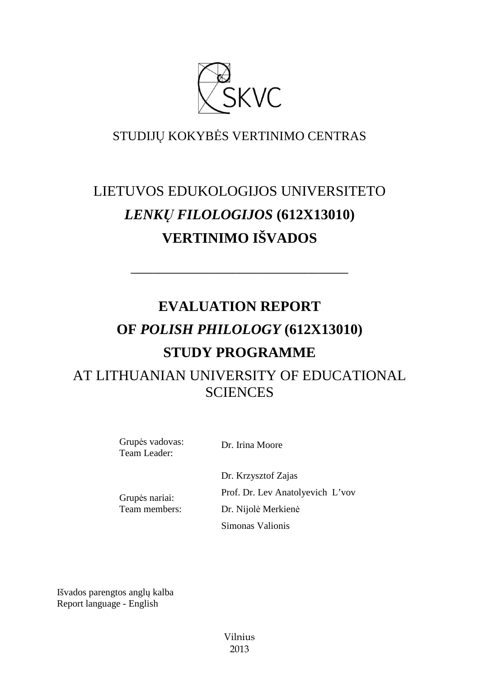

# STUDIJŲ KOKYBĖS VERTINIMO CENTRAS

# LIETUVOS EDUKOLOGIJOS UNIVERSITETO *LENKŲ FILOLOGIJOS* **(612X13010) VERTINIMO IŠVADOS**

––––––––––––––––––––––––––––––

# **EVALUATION REPORT OF** *POLISH PHILOLOGY* **(612X13010) STUDY PROGRAMME**  AT LITHUANIAN UNIVERSITY OF EDUCATIONAL **SCIENCES**

Grupės vadovas: Team Leader:

Dr. Irina Moore

Dr. Krzysztof Zajas Prof. Dr. Lev Anatolyevich L'vov Dr. Nijolė Merkienė Simonas Valionis

Grupės nariai: Team members:

Išvados parengtos anglų kalba Report language - English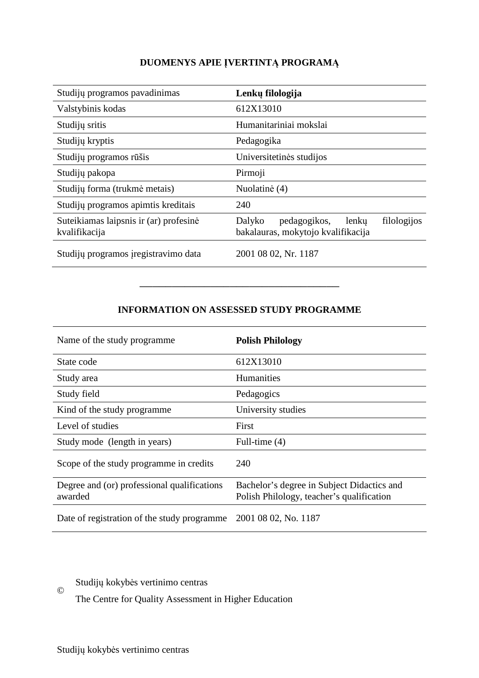# **DUOMENYS APIE ĮVERTINTĄ PROGRAMĄ**

| Studijų programos pavadinimas                           | Lenkų filologija                                                                     |
|---------------------------------------------------------|--------------------------------------------------------------------------------------|
| Valstybinis kodas                                       | 612X13010                                                                            |
| Studijų sritis                                          | Humanitariniai mokslai                                                               |
| Studijų kryptis                                         | Pedagogika                                                                           |
| Studijų programos rūšis                                 | Universitetinės studijos                                                             |
| Studiju pakopa                                          | Pirmoji                                                                              |
| Studijų forma (trukmė metais)                           | Nuolatinė (4)                                                                        |
| Studijų programos apimtis kreditais                     | 240                                                                                  |
| Suteikiamas laipsnis ir (ar) profesinė<br>kvalifikacija | filologijos<br>Dalyko<br>pedagogikos,<br>lenku<br>bakalauras, mokytojo kvalifikacija |
| Studijų programos įregistravimo data                    | 2001 08 02, Nr. 1187                                                                 |

## **INFORMATION ON ASSESSED STUDY PROGRAMME**

–––––––––––––––––––––––––––––––

| Name of the study programme.                           | <b>Polish Philology</b>                                                                 |
|--------------------------------------------------------|-----------------------------------------------------------------------------------------|
| State code                                             | 612X13010                                                                               |
| Study area                                             | <b>Humanities</b>                                                                       |
| Study field                                            | Pedagogics                                                                              |
| Kind of the study programme.                           | University studies                                                                      |
| Level of studies                                       | First                                                                                   |
| Study mode (length in years)                           | Full-time $(4)$                                                                         |
| Scope of the study programme in credits                | 240                                                                                     |
| Degree and (or) professional qualifications<br>awarded | Bachelor's degree in Subject Didactics and<br>Polish Philology, teacher's qualification |
| Date of registration of the study programme            | 2001 08 02, No. 1187                                                                    |

Studijų kokybės vertinimo centras ©

The Centre for Quality Assessment in Higher Education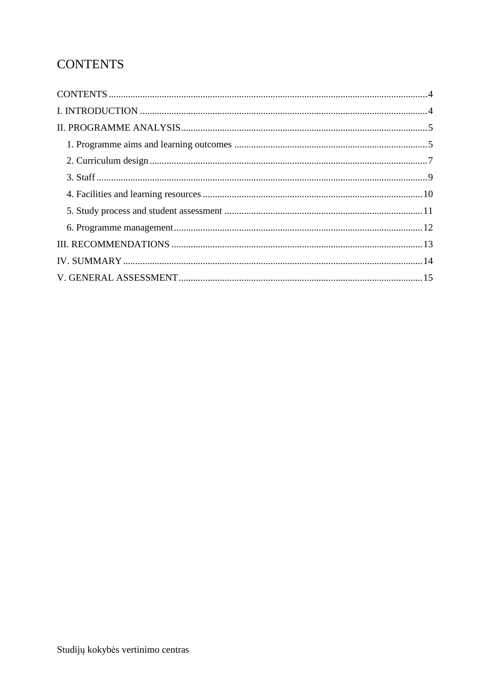# **CONTENTS**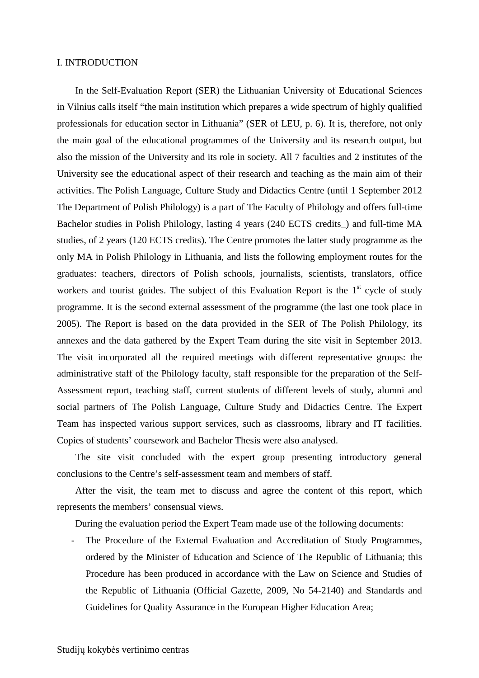#### I. INTRODUCTION

In the Self-Evaluation Report (SER) the Lithuanian University of Educational Sciences in Vilnius calls itself "the main institution which prepares a wide spectrum of highly qualified professionals for education sector in Lithuania" (SER of LEU, p. 6). It is, therefore, not only the main goal of the educational programmes of the University and its research output, but also the mission of the University and its role in society. All 7 faculties and 2 institutes of the University see the educational aspect of their research and teaching as the main aim of their activities. The Polish Language, Culture Study and Didactics Centre (until 1 September 2012 The Department of Polish Philology) is a part of The Faculty of Philology and offers full-time Bachelor studies in Polish Philology, lasting 4 years (240 ECTS credits\_) and full-time MA studies, of 2 years (120 ECTS credits). The Centre promotes the latter study programme as the only MA in Polish Philology in Lithuania, and lists the following employment routes for the graduates: teachers, directors of Polish schools, journalists, scientists, translators, office workers and tourist guides. The subject of this Evaluation Report is the  $1<sup>st</sup>$  cycle of study programme. It is the second external assessment of the programme (the last one took place in 2005). The Report is based on the data provided in the SER of The Polish Philology, its annexes and the data gathered by the Expert Team during the site visit in September 2013. The visit incorporated all the required meetings with different representative groups: the administrative staff of the Philology faculty, staff responsible for the preparation of the Self-Assessment report, teaching staff, current students of different levels of study, alumni and social partners of The Polish Language, Culture Study and Didactics Centre. The Expert Team has inspected various support services, such as classrooms, library and IT facilities. Copies of students' coursework and Bachelor Thesis were also analysed.

The site visit concluded with the expert group presenting introductory general conclusions to the Centre's self-assessment team and members of staff.

After the visit, the team met to discuss and agree the content of this report, which represents the members' consensual views.

During the evaluation period the Expert Team made use of the following documents:

The Procedure of the External Evaluation and Accreditation of Study Programmes, ordered by the Minister of Education and Science of The Republic of Lithuania; this Procedure has been produced in accordance with the Law on Science and Studies of the Republic of Lithuania (Official Gazette, 2009, No 54-2140) and Standards and Guidelines for Quality Assurance in the European Higher Education Area;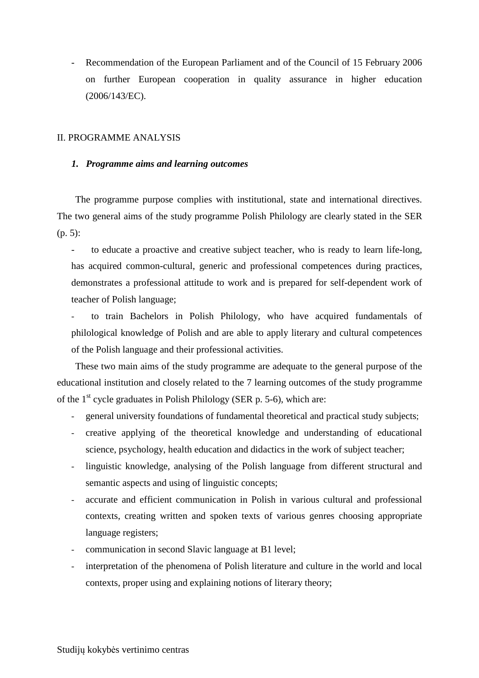Recommendation of the European Parliament and of the Council of 15 February 2006 on further European cooperation in quality assurance in higher education (2006/143/EC).

#### II. PROGRAMME ANALYSIS

#### *1. Programme aims and learning outcomes*

The programme purpose complies with institutional, state and international directives. The two general aims of the study programme Polish Philology are clearly stated in the SER (p. 5):

- to educate a proactive and creative subject teacher, who is ready to learn life-long, has acquired common-cultural, generic and professional competences during practices, demonstrates a professional attitude to work and is prepared for self-dependent work of teacher of Polish language;

- to train Bachelors in Polish Philology, who have acquired fundamentals of philological knowledge of Polish and are able to apply literary and cultural competences of the Polish language and their professional activities.

These two main aims of the study programme are adequate to the general purpose of the educational institution and closely related to the 7 learning outcomes of the study programme of the  $1<sup>st</sup>$  cycle graduates in Polish Philology (SER p. 5-6), which are:

- general university foundations of fundamental theoretical and practical study subjects;
- creative applying of the theoretical knowledge and understanding of educational science, psychology, health education and didactics in the work of subject teacher;
- linguistic knowledge, analysing of the Polish language from different structural and semantic aspects and using of linguistic concepts;
- accurate and efficient communication in Polish in various cultural and professional contexts, creating written and spoken texts of various genres choosing appropriate language registers;
- communication in second Slavic language at B1 level;
- interpretation of the phenomena of Polish literature and culture in the world and local contexts, proper using and explaining notions of literary theory;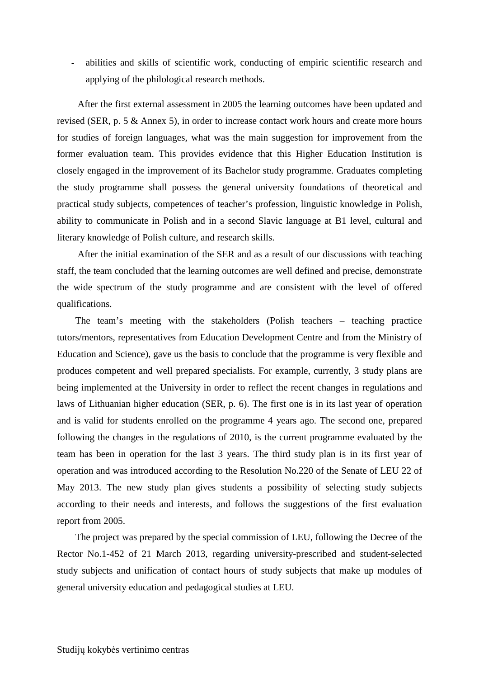abilities and skills of scientific work, conducting of empiric scientific research and applying of the philological research methods.

 After the first external assessment in 2005 the learning outcomes have been updated and revised (SER, p. 5 & Annex 5), in order to increase contact work hours and create more hours for studies of foreign languages, what was the main suggestion for improvement from the former evaluation team. This provides evidence that this Higher Education Institution is closely engaged in the improvement of its Bachelor study programme. Graduates completing the study programme shall possess the general university foundations of theoretical and practical study subjects, competences of teacher's profession, linguistic knowledge in Polish, ability to communicate in Polish and in a second Slavic language at B1 level, cultural and literary knowledge of Polish culture, and research skills.

 After the initial examination of the SER and as a result of our discussions with teaching staff, the team concluded that the learning outcomes are well defined and precise, demonstrate the wide spectrum of the study programme and are consistent with the level of offered qualifications.

The team's meeting with the stakeholders (Polish teachers – teaching practice tutors/mentors, representatives from Education Development Centre and from the Ministry of Education and Science), gave us the basis to conclude that the programme is very flexible and produces competent and well prepared specialists. For example, currently, 3 study plans are being implemented at the University in order to reflect the recent changes in regulations and laws of Lithuanian higher education (SER, p. 6). The first one is in its last year of operation and is valid for students enrolled on the programme 4 years ago. The second one, prepared following the changes in the regulations of 2010, is the current programme evaluated by the team has been in operation for the last 3 years. The third study plan is in its first year of operation and was introduced according to the Resolution No.220 of the Senate of LEU 22 of May 2013. The new study plan gives students a possibility of selecting study subjects according to their needs and interests, and follows the suggestions of the first evaluation report from 2005.

The project was prepared by the special commission of LEU, following the Decree of the Rector No.1-452 of 21 March 2013, regarding university-prescribed and student-selected study subjects and unification of contact hours of study subjects that make up modules of general university education and pedagogical studies at LEU.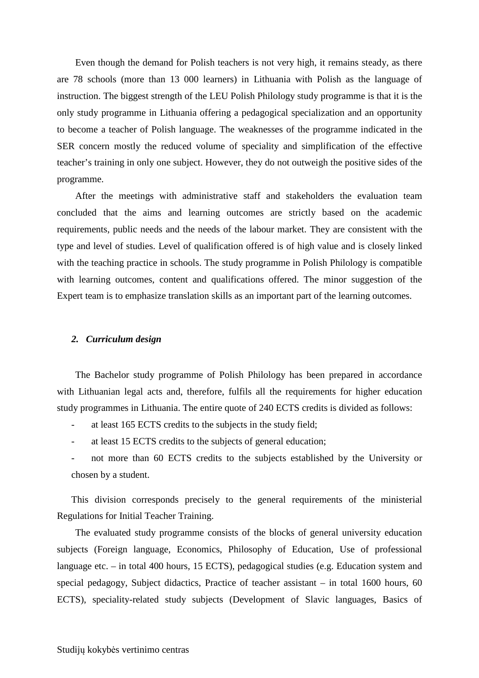Even though the demand for Polish teachers is not very high, it remains steady, as there are 78 schools (more than 13 000 learners) in Lithuania with Polish as the language of instruction. The biggest strength of the LEU Polish Philology study programme is that it is the only study programme in Lithuania offering a pedagogical specialization and an opportunity to become a teacher of Polish language. The weaknesses of the programme indicated in the SER concern mostly the reduced volume of speciality and simplification of the effective teacher's training in only one subject. However, they do not outweigh the positive sides of the programme.

After the meetings with administrative staff and stakeholders the evaluation team concluded that the aims and learning outcomes are strictly based on the academic requirements, public needs and the needs of the labour market. They are consistent with the type and level of studies. Level of qualification offered is of high value and is closely linked with the teaching practice in schools. The study programme in Polish Philology is compatible with learning outcomes, content and qualifications offered. The minor suggestion of the Expert team is to emphasize translation skills as an important part of the learning outcomes.

#### *2. Curriculum design*

The Bachelor study programme of Polish Philology has been prepared in accordance with Lithuanian legal acts and, therefore, fulfils all the requirements for higher education study programmes in Lithuania. The entire quote of 240 ECTS credits is divided as follows:

- at least 165 ECTS credits to the subjects in the study field;
- at least 15 ECTS credits to the subjects of general education;
- not more than 60 ECTS credits to the subjects established by the University or chosen by a student.

This division corresponds precisely to the general requirements of the ministerial Regulations for Initial Teacher Training.

The evaluated study programme consists of the blocks of general university education subjects (Foreign language, Economics, Philosophy of Education, Use of professional language etc. – in total 400 hours, 15 ECTS), pedagogical studies (e.g. Education system and special pedagogy, Subject didactics, Practice of teacher assistant – in total 1600 hours, 60 ECTS), speciality-related study subjects (Development of Slavic languages, Basics of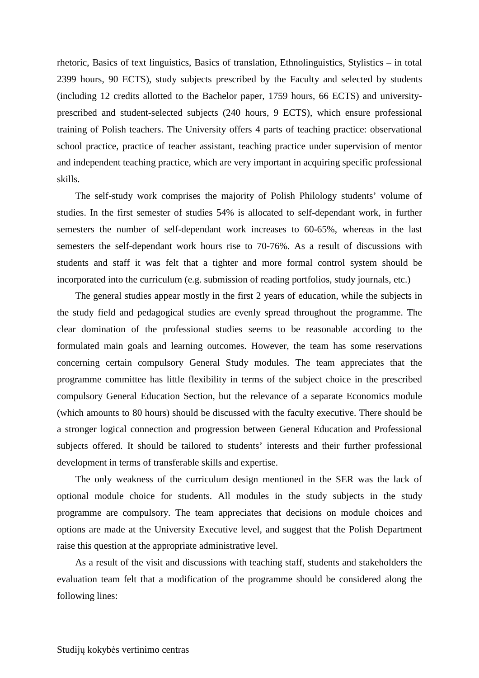rhetoric, Basics of text linguistics, Basics of translation, Ethnolinguistics, Stylistics – in total 2399 hours, 90 ECTS), study subjects prescribed by the Faculty and selected by students (including 12 credits allotted to the Bachelor paper, 1759 hours, 66 ECTS) and universityprescribed and student-selected subjects (240 hours, 9 ECTS), which ensure professional training of Polish teachers. The University offers 4 parts of teaching practice: observational school practice, practice of teacher assistant, teaching practice under supervision of mentor and independent teaching practice, which are very important in acquiring specific professional skills.

The self-study work comprises the majority of Polish Philology students' volume of studies. In the first semester of studies 54% is allocated to self-dependant work, in further semesters the number of self-dependant work increases to 60-65%, whereas in the last semesters the self-dependant work hours rise to 70-76%. As a result of discussions with students and staff it was felt that a tighter and more formal control system should be incorporated into the curriculum (e.g. submission of reading portfolios, study journals, etc.)

The general studies appear mostly in the first 2 years of education, while the subjects in the study field and pedagogical studies are evenly spread throughout the programme. The clear domination of the professional studies seems to be reasonable according to the formulated main goals and learning outcomes. However, the team has some reservations concerning certain compulsory General Study modules. The team appreciates that the programme committee has little flexibility in terms of the subject choice in the prescribed compulsory General Education Section, but the relevance of a separate Economics module (which amounts to 80 hours) should be discussed with the faculty executive. There should be a stronger logical connection and progression between General Education and Professional subjects offered. It should be tailored to students' interests and their further professional development in terms of transferable skills and expertise.

The only weakness of the curriculum design mentioned in the SER was the lack of optional module choice for students. All modules in the study subjects in the study programme are compulsory. The team appreciates that decisions on module choices and options are made at the University Executive level, and suggest that the Polish Department raise this question at the appropriate administrative level.

As a result of the visit and discussions with teaching staff, students and stakeholders the evaluation team felt that a modification of the programme should be considered along the following lines: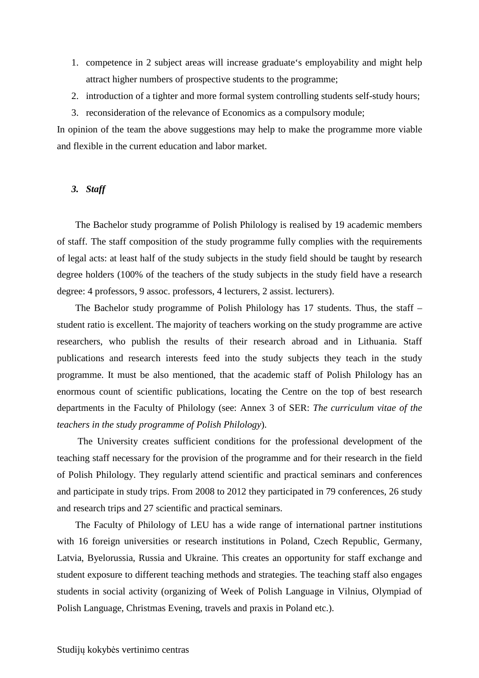- 1. competence in 2 subject areas will increase graduate's employability and might help attract higher numbers of prospective students to the programme;
- 2. introduction of a tighter and more formal system controlling students self-study hours;
- 3. reconsideration of the relevance of Economics as a compulsory module;

In opinion of the team the above suggestions may help to make the programme more viable and flexible in the current education and labor market.

## *3. Staff*

The Bachelor study programme of Polish Philology is realised by 19 academic members of staff. The staff composition of the study programme fully complies with the requirements of legal acts: at least half of the study subjects in the study field should be taught by research degree holders (100% of the teachers of the study subjects in the study field have a research degree: 4 professors, 9 assoc. professors, 4 lecturers, 2 assist. lecturers).

The Bachelor study programme of Polish Philology has 17 students. Thus, the staff – student ratio is excellent. The majority of teachers working on the study programme are active researchers, who publish the results of their research abroad and in Lithuania. Staff publications and research interests feed into the study subjects they teach in the study programme. It must be also mentioned, that the academic staff of Polish Philology has an enormous count of scientific publications, locating the Centre on the top of best research departments in the Faculty of Philology (see: Annex 3 of SER: *The curriculum vitae of the teachers in the study programme of Polish Philology*).

 The University creates sufficient conditions for the professional development of the teaching staff necessary for the provision of the programme and for their research in the field of Polish Philology. They regularly attend scientific and practical seminars and conferences and participate in study trips. From 2008 to 2012 they participated in 79 conferences, 26 study and research trips and 27 scientific and practical seminars.

The Faculty of Philology of LEU has a wide range of international partner institutions with 16 foreign universities or research institutions in Poland, Czech Republic, Germany, Latvia, Byelorussia, Russia and Ukraine. This creates an opportunity for staff exchange and student exposure to different teaching methods and strategies. The teaching staff also engages students in social activity (organizing of Week of Polish Language in Vilnius, Olympiad of Polish Language, Christmas Evening, travels and praxis in Poland etc.).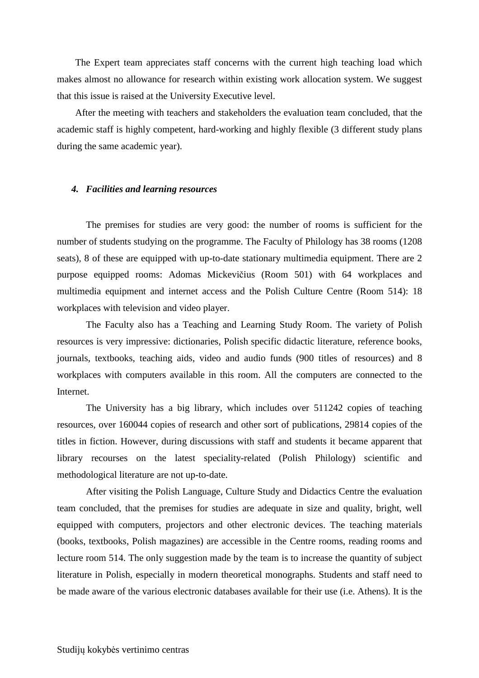The Expert team appreciates staff concerns with the current high teaching load which makes almost no allowance for research within existing work allocation system. We suggest that this issue is raised at the University Executive level.

After the meeting with teachers and stakeholders the evaluation team concluded, that the academic staff is highly competent, hard-working and highly flexible (3 different study plans during the same academic year).

#### *4. Facilities and learning resources*

The premises for studies are very good: the number of rooms is sufficient for the number of students studying on the programme. The Faculty of Philology has 38 rooms (1208 seats), 8 of these are equipped with up-to-date stationary multimedia equipment. There are 2 purpose equipped rooms: Adomas Mickevičius (Room 501) with 64 workplaces and multimedia equipment and internet access and the Polish Culture Centre (Room 514): 18 workplaces with television and video player.

The Faculty also has a Teaching and Learning Study Room. The variety of Polish resources is very impressive: dictionaries, Polish specific didactic literature, reference books, journals, textbooks, teaching aids, video and audio funds (900 titles of resources) and 8 workplaces with computers available in this room. All the computers are connected to the Internet.

The University has a big library, which includes over 511242 copies of teaching resources, over 160044 copies of research and other sort of publications, 29814 copies of the titles in fiction. However, during discussions with staff and students it became apparent that library recourses on the latest speciality-related (Polish Philology) scientific and methodological literature are not up-to-date.

After visiting the Polish Language, Culture Study and Didactics Centre the evaluation team concluded, that the premises for studies are adequate in size and quality, bright, well equipped with computers, projectors and other electronic devices. The teaching materials (books, textbooks, Polish magazines) are accessible in the Centre rooms, reading rooms and lecture room 514. The only suggestion made by the team is to increase the quantity of subject literature in Polish, especially in modern theoretical monographs. Students and staff need to be made aware of the various electronic databases available for their use (i.e. Athens). It is the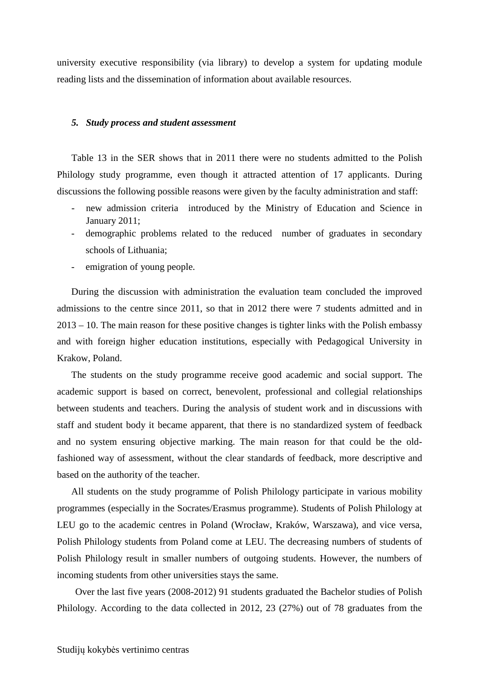university executive responsibility (via library) to develop a system for updating module reading lists and the dissemination of information about available resources.

#### *5. Study process and student assessment*

Table 13 in the SER shows that in 2011 there were no students admitted to the Polish Philology study programme, even though it attracted attention of 17 applicants. During discussions the following possible reasons were given by the faculty administration and staff:

- new admission criteria introduced by the Ministry of Education and Science in January 2011;
- demographic problems related to the reduced number of graduates in secondary schools of Lithuania;
- emigration of young people.

During the discussion with administration the evaluation team concluded the improved admissions to the centre since 2011, so that in 2012 there were 7 students admitted and in 2013 – 10. The main reason for these positive changes is tighter links with the Polish embassy and with foreign higher education institutions, especially with Pedagogical University in Krakow, Poland.

The students on the study programme receive good academic and social support. The academic support is based on correct, benevolent, professional and collegial relationships between students and teachers. During the analysis of student work and in discussions with staff and student body it became apparent, that there is no standardized system of feedback and no system ensuring objective marking. The main reason for that could be the oldfashioned way of assessment, without the clear standards of feedback, more descriptive and based on the authority of the teacher.

All students on the study programme of Polish Philology participate in various mobility programmes (especially in the Socrates/Erasmus programme). Students of Polish Philology at LEU go to the academic centres in Poland (Wrocław, Kraków, Warszawa), and vice versa, Polish Philology students from Poland come at LEU. The decreasing numbers of students of Polish Philology result in smaller numbers of outgoing students. However, the numbers of incoming students from other universities stays the same.

Over the last five years (2008-2012) 91 students graduated the Bachelor studies of Polish Philology. According to the data collected in 2012, 23 (27%) out of 78 graduates from the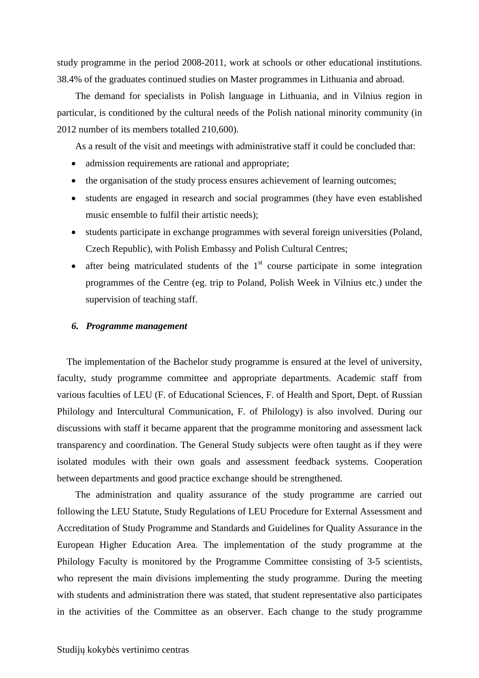study programme in the period 2008-2011, work at schools or other educational institutions. 38.4% of the graduates continued studies on Master programmes in Lithuania and abroad.

The demand for specialists in Polish language in Lithuania, and in Vilnius region in particular, is conditioned by the cultural needs of the Polish national minority community (in 2012 number of its members totalled 210,600).

As a result of the visit and meetings with administrative staff it could be concluded that:

- admission requirements are rational and appropriate;
- the organisation of the study process ensures achievement of learning outcomes;
- students are engaged in research and social programmes (they have even established music ensemble to fulfil their artistic needs);
- students participate in exchange programmes with several foreign universities (Poland, Czech Republic), with Polish Embassy and Polish Cultural Centres;
- after being matriculated students of the  $1<sup>st</sup>$  course participate in some integration programmes of the Centre (eg. trip to Poland, Polish Week in Vilnius etc.) under the supervision of teaching staff.

#### *6. Programme management*

 The implementation of the Bachelor study programme is ensured at the level of university, faculty, study programme committee and appropriate departments. Academic staff from various faculties of LEU (F. of Educational Sciences, F. of Health and Sport, Dept. of Russian Philology and Intercultural Communication, F. of Philology) is also involved. During our discussions with staff it became apparent that the programme monitoring and assessment lack transparency and coordination. The General Study subjects were often taught as if they were isolated modules with their own goals and assessment feedback systems. Cooperation between departments and good practice exchange should be strengthened.

The administration and quality assurance of the study programme are carried out following the LEU Statute, Study Regulations of LEU Procedure for External Assessment and Accreditation of Study Programme and Standards and Guidelines for Quality Assurance in the European Higher Education Area. The implementation of the study programme at the Philology Faculty is monitored by the Programme Committee consisting of 3-5 scientists, who represent the main divisions implementing the study programme. During the meeting with students and administration there was stated, that student representative also participates in the activities of the Committee as an observer. Each change to the study programme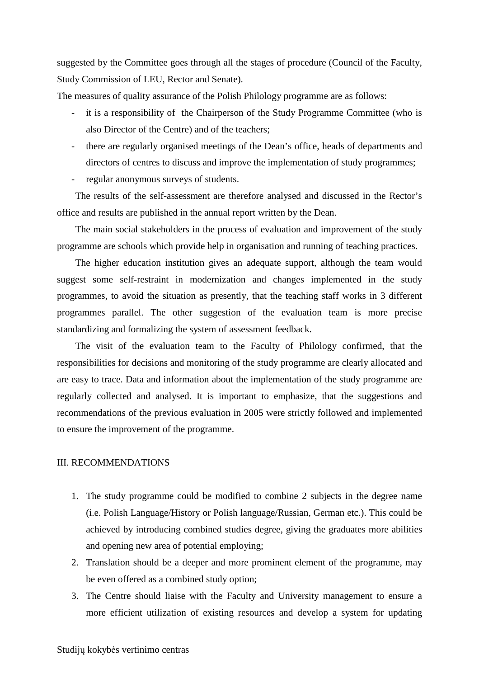suggested by the Committee goes through all the stages of procedure (Council of the Faculty, Study Commission of LEU, Rector and Senate).

The measures of quality assurance of the Polish Philology programme are as follows:

- it is a responsibility of the Chairperson of the Study Programme Committee (who is also Director of the Centre) and of the teachers;
- there are regularly organised meetings of the Dean's office, heads of departments and directors of centres to discuss and improve the implementation of study programmes;
- regular anonymous surveys of students.

The results of the self-assessment are therefore analysed and discussed in the Rector's office and results are published in the annual report written by the Dean.

The main social stakeholders in the process of evaluation and improvement of the study programme are schools which provide help in organisation and running of teaching practices.

The higher education institution gives an adequate support, although the team would suggest some self-restraint in modernization and changes implemented in the study programmes, to avoid the situation as presently, that the teaching staff works in 3 different programmes parallel. The other suggestion of the evaluation team is more precise standardizing and formalizing the system of assessment feedback.

The visit of the evaluation team to the Faculty of Philology confirmed, that the responsibilities for decisions and monitoring of the study programme are clearly allocated and are easy to trace. Data and information about the implementation of the study programme are regularly collected and analysed. It is important to emphasize, that the suggestions and recommendations of the previous evaluation in 2005 were strictly followed and implemented to ensure the improvement of the programme.

#### III. RECOMMENDATIONS

- 1. The study programme could be modified to combine 2 subjects in the degree name (i.e. Polish Language/History or Polish language/Russian, German etc.). This could be achieved by introducing combined studies degree, giving the graduates more abilities and opening new area of potential employing;
- 2. Translation should be a deeper and more prominent element of the programme, may be even offered as a combined study option;
- 3. The Centre should liaise with the Faculty and University management to ensure a more efficient utilization of existing resources and develop a system for updating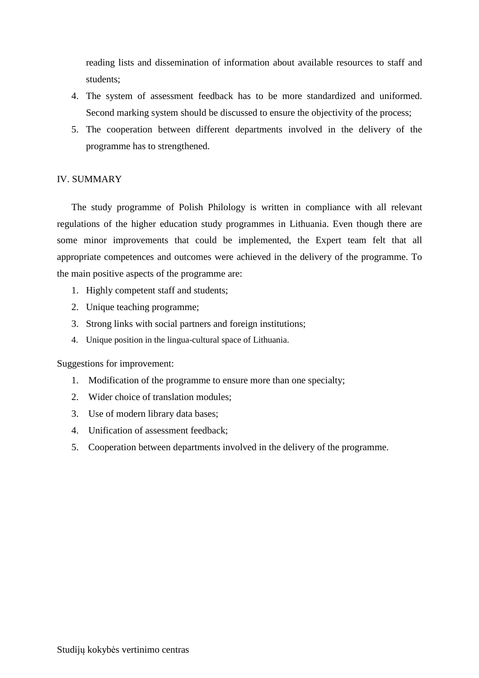reading lists and dissemination of information about available resources to staff and students;

- 4. The system of assessment feedback has to be more standardized and uniformed. Second marking system should be discussed to ensure the objectivity of the process;
- 5. The cooperation between different departments involved in the delivery of the programme has to strengthened.

### IV. SUMMARY

The study programme of Polish Philology is written in compliance with all relevant regulations of the higher education study programmes in Lithuania. Even though there are some minor improvements that could be implemented, the Expert team felt that all appropriate competences and outcomes were achieved in the delivery of the programme. To the main positive aspects of the programme are:

- 1. Highly competent staff and students;
- 2. Unique teaching programme;
- 3. Strong links with social partners and foreign institutions;
- 4. Unique position in the lingua-cultural space of Lithuania.

#### Suggestions for improvement:

- 1. Modification of the programme to ensure more than one specialty;
- 2. Wider choice of translation modules;
- 3. Use of modern library data bases;
- 4. Unification of assessment feedback;
- 5. Cooperation between departments involved in the delivery of the programme.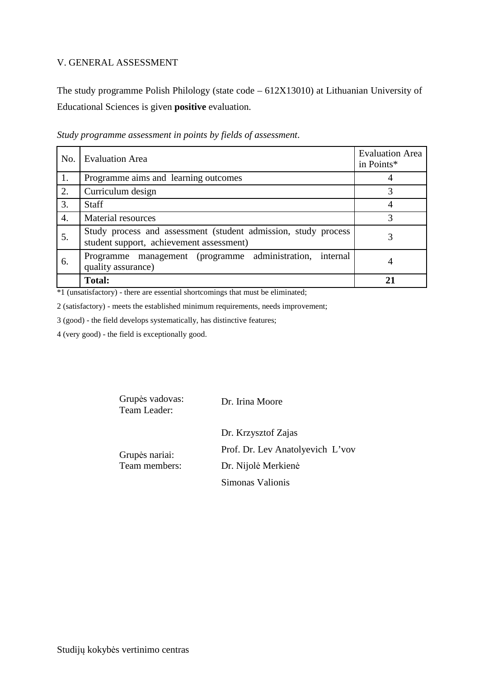## V. GENERAL ASSESSMENT

The study programme Polish Philology (state code – 612X13010) at Lithuanian University of Educational Sciences is given **positive** evaluation.

| No.              | <b>Evaluation Area</b>                                                                                     | <b>Evaluation Area</b><br>in Points* |
|------------------|------------------------------------------------------------------------------------------------------------|--------------------------------------|
| 1.               | Programme aims and learning outcomes                                                                       |                                      |
| 2.               | Curriculum design                                                                                          | 3                                    |
| 3.               | <b>Staff</b>                                                                                               | 4                                    |
| $\overline{4}$ . | Material resources                                                                                         | 3                                    |
| 5.               | Study process and assessment (student admission, study process<br>student support, achievement assessment) | 3                                    |
| 6.               | Programme management (programme administration,<br>internal<br>quality assurance)                          | 4                                    |
|                  | <b>Total:</b>                                                                                              | 21                                   |

*Study programme assessment in points by fields of assessment*.

\*1 (unsatisfactory) - there are essential shortcomings that must be eliminated;

2 (satisfactory) - meets the established minimum requirements, needs improvement;

3 (good) - the field develops systematically, has distinctive features;

4 (very good) - the field is exceptionally good.

| Grupės vadovas:<br>Team Leader: | Dr. Irina Moore                  |
|---------------------------------|----------------------------------|
| Grupės nariai:<br>Team members: | Dr. Krzysztof Zajas              |
|                                 | Prof. Dr. Lev Anatolyevich L'vov |
|                                 | Dr. Nijolė Merkienė              |
|                                 | Simonas Valionis                 |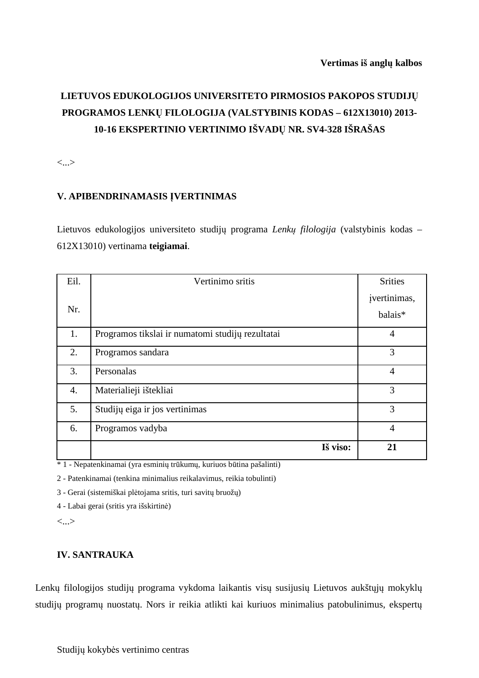# **LIETUVOS EDUKOLOGIJOS UNIVERSITETO PIRMOSIOS PAKOPOS STUDIJŲ PROGRAMOS LENKŲ FILOLOGIJA (VALSTYBINIS KODAS – 612X13010) 2013- 10-16 EKSPERTINIO VERTINIMO IŠVADŲ NR. SV4-328 IŠRAŠAS**

<...>

# **V. APIBENDRINAMASIS ĮVERTINIMAS**

Lietuvos edukologijos universiteto studijų programa *Lenkų filologija* (valstybinis kodas – 612X13010) vertinama **teigiamai**.

| Eil.             | Vertinimo sritis                                 | <b>Srities</b> |
|------------------|--------------------------------------------------|----------------|
|                  |                                                  | įvertinimas,   |
| Nr.              |                                                  | balais*        |
| 1.               | Programos tikslai ir numatomi studijų rezultatai | $\overline{4}$ |
| 2.               | Programos sandara                                | 3              |
| 3.               | Personalas                                       | $\overline{4}$ |
| $\overline{4}$ . | Materialieji ištekliai                           | 3              |
| 5.               | Studijų eiga ir jos vertinimas                   | 3              |
| 6.               | Programos vadyba                                 | $\overline{4}$ |
|                  | Iš viso:                                         | 21             |

\* 1 - Nepatenkinamai (yra esminių trūkumų, kuriuos būtina pašalinti)

2 - Patenkinamai (tenkina minimalius reikalavimus, reikia tobulinti)

3 - Gerai (sistemiškai plėtojama sritis, turi savitų bruožų)

4 - Labai gerai (sritis yra išskirtinė)

<...>

## **IV. SANTRAUKA**

Lenkų filologijos studijų programa vykdoma laikantis visų susijusių Lietuvos aukštųjų mokyklų studijų programų nuostatų. Nors ir reikia atlikti kai kuriuos minimalius patobulinimus, ekspertų